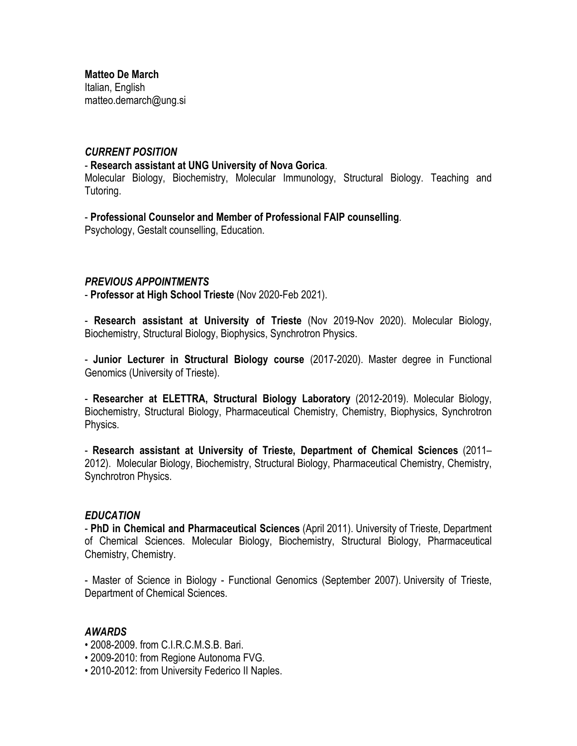**Matteo De March** Italian, English matteo.demarch@ung.si

### *CURRENT POSITION*

#### - **Research assistant at UNG University of Nova Gorica**.

Molecular Biology, Biochemistry, Molecular Immunology, Structural Biology. Teaching and Tutoring.

# - **Professional Counselor and Member of Professional FAIP counselling**.

Psychology, Gestalt counselling, Education.

# *PREVIOUS APPOINTMENTS*

- **Professor at High School Trieste** (Nov 2020-Feb 2021).

- **Research assistant at University of Trieste** (Nov 2019-Nov 2020). Molecular Biology, Biochemistry, Structural Biology, Biophysics, Synchrotron Physics.

- **Junior Lecturer in Structural Biology course** (2017-2020). Master degree in Functional Genomics (University of Trieste).

- **Researcher at ELETTRA, Structural Biology Laboratory** (2012-2019). Molecular Biology, Biochemistry, Structural Biology, Pharmaceutical Chemistry, Chemistry, Biophysics, Synchrotron Physics.

- **Research assistant at University of Trieste, Department of Chemical Sciences** (2011– 2012). Molecular Biology, Biochemistry, Structural Biology, Pharmaceutical Chemistry, Chemistry, Synchrotron Physics.

### *EDUCATION*

- **PhD in Chemical and Pharmaceutical Sciences** (April 2011). University of Trieste, Department of Chemical Sciences. Molecular Biology, Biochemistry, Structural Biology, Pharmaceutical Chemistry, Chemistry.

- Master of Science in Biology - Functional Genomics (September 2007). University of Trieste, Department of Chemical Sciences.

### *AWARDS*

- 2008-2009. from C.I.R.C.M.S.B. Bari.
- 2009-2010: from Regione Autonoma FVG.
- 2010-2012: from University Federico II Naples.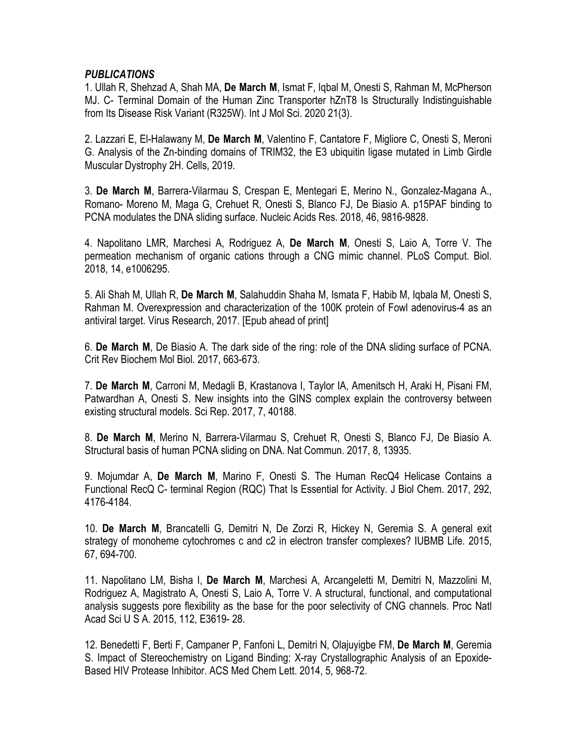# *PUBLICATIONS*

1. Ullah R, Shehzad A, Shah MA, **De March M**, Ismat F, Iqbal M, Onesti S, Rahman M, McPherson MJ. C- Terminal Domain of the Human Zinc Transporter hZnT8 Is Structurally Indistinguishable from Its Disease Risk Variant (R325W). Int J Mol Sci. 2020 21(3).

2. Lazzari E, El-Halawany M, **De March M**, Valentino F, Cantatore F, Migliore C, Onesti S, Meroni G. Analysis of the Zn-binding domains of TRIM32, the E3 ubiquitin ligase mutated in Limb Girdle Muscular Dystrophy 2H. Cells, 2019.

3. **De March M**, Barrera-Vilarmau S, Crespan E, Mentegari E, Merino N., Gonzalez-Magana A., Romano- Moreno M, Maga G, Crehuet R, Onesti S, Blanco FJ, De Biasio A. p15PAF binding to PCNA modulates the DNA sliding surface. Nucleic Acids Res. 2018, 46, 9816-9828.

4. Napolitano LMR, Marchesi A, Rodriguez A, **De March M**, Onesti S, Laio A, Torre V. The permeation mechanism of organic cations through a CNG mimic channel. PLoS Comput. Biol. 2018, 14, e1006295.

5. Ali Shah M, Ullah R, **De March M**, Salahuddin Shaha M, Ismata F, Habib M, Iqbala M, Onesti S, Rahman M. Overexpression and characterization of the 100K protein of Fowl adenovirus-4 as an antiviral target. Virus Research, 2017. [Epub ahead of print]

6. **De March M**, De Biasio A. The dark side of the ring: role of the DNA sliding surface of PCNA. Crit Rev Biochem Mol Biol. 2017, 663-673.

7. **De March M**, Carroni M, Medagli B, Krastanova I, Taylor IA, Amenitsch H, Araki H, Pisani FM, Patwardhan A, Onesti S. New insights into the GINS complex explain the controversy between existing structural models. Sci Rep. 2017, 7, 40188.

8. **De March M**, Merino N, Barrera-Vilarmau S, Crehuet R, Onesti S, Blanco FJ, De Biasio A. Structural basis of human PCNA sliding on DNA. Nat Commun. 2017, 8, 13935.

9. Mojumdar A, **De March M**, Marino F, Onesti S. The Human RecQ4 Helicase Contains a Functional RecQ C- terminal Region (RQC) That Is Essential for Activity. J Biol Chem. 2017, 292, 4176-4184.

10. **De March M**, Brancatelli G, Demitri N, De Zorzi R, Hickey N, Geremia S. A general exit strategy of monoheme cytochromes c and c2 in electron transfer complexes? IUBMB Life. 2015, 67, 694-700.

11. Napolitano LM, Bisha I, **De March M**, Marchesi A, Arcangeletti M, Demitri N, Mazzolini M, Rodriguez A, Magistrato A, Onesti S, Laio A, Torre V. A structural, functional, and computational analysis suggests pore flexibility as the base for the poor selectivity of CNG channels. Proc Natl Acad Sci U S A. 2015, 112, E3619- 28.

12. Benedetti F, Berti F, Campaner P, Fanfoni L, Demitri N, Olajuyigbe FM, **De March M**, Geremia S. Impact of Stereochemistry on Ligand Binding: X-ray Crystallographic Analysis of an Epoxide-Based HIV Protease Inhibitor. ACS Med Chem Lett. 2014, 5, 968-72.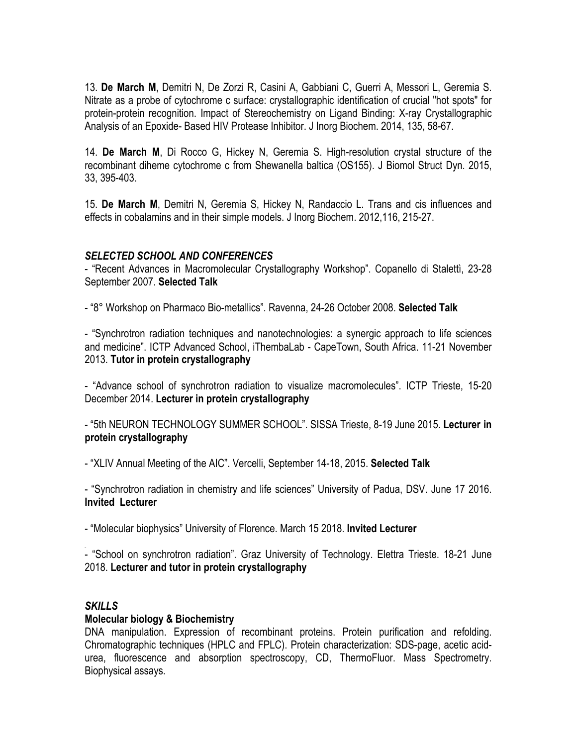13. **De March M**, Demitri N, De Zorzi R, Casini A, Gabbiani C, Guerri A, Messori L, Geremia S. Nitrate as a probe of cytochrome c surface: crystallographic identification of crucial "hot spots" for protein-protein recognition. Impact of Stereochemistry on Ligand Binding: X-ray Crystallographic Analysis of an Epoxide- Based HIV Protease Inhibitor. J Inorg Biochem. 2014, 135, 58-67.

14. **De March M**, Di Rocco G, Hickey N, Geremia S. High-resolution crystal structure of the recombinant diheme cytochrome c from Shewanella baltica (OS155). J Biomol Struct Dyn. 2015, 33, 395-403.

15. **De March M**, Demitri N, Geremia S, Hickey N, Randaccio L. Trans and cis influences and effects in cobalamins and in their simple models. J Inorg Biochem. 2012,116, 215-27.

# *SELECTED SCHOOL AND CONFERENCES*

- "Recent Advances in Macromolecular Crystallography Workshop". Copanello di Stalettì, 23-28 September 2007. **Selected Talk**

- "8° Workshop on Pharmaco Bio-metallics". Ravenna, 24-26 October 2008. **Selected Talk**

- "Synchrotron radiation techniques and nanotechnologies: a synergic approach to life sciences and medicine". ICTP Advanced School, iThembaLab - CapeTown, South Africa. 11-21 November 2013. **Tutor in protein crystallography**

- "Advance school of synchrotron radiation to visualize macromolecules". ICTP Trieste, 15-20 December 2014. **Lecturer in protein crystallography**

- "5th NEURON TECHNOLOGY SUMMER SCHOOL". SISSA Trieste, 8-19 June 2015. **Lecturer in protein crystallography**

- "XLIV Annual Meeting of the AIC". Vercelli, September 14-18, 2015. **Selected Talk**

- "Synchrotron radiation in chemistry and life sciences" University of Padua, DSV. June 17 2016. **Invited Lecturer**

- "Molecular biophysics" University of Florence. March 15 2018. **Invited Lecturer**

- "School on synchrotron radiation". Graz University of Technology. Elettra Trieste. 18-21 June 2018. **Lecturer and tutor in protein crystallography**

# *SKILLS*

# **Molecular biology & Biochemistry**

DNA manipulation. Expression of recombinant proteins. Protein purification and refolding. Chromatographic techniques (HPLC and FPLC). Protein characterization: SDS-page, acetic acidurea, fluorescence and absorption spectroscopy, CD, ThermoFluor. Mass Spectrometry. Biophysical assays.